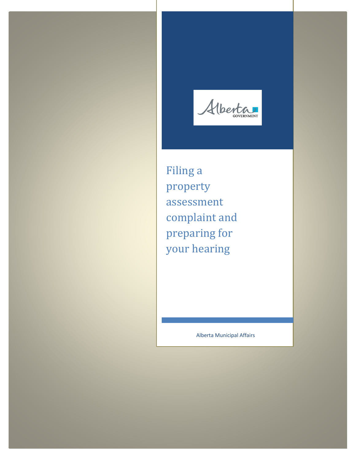Alberta

Filing a property assessment complaint and preparing for your hearing

Alberta Municipal Affairs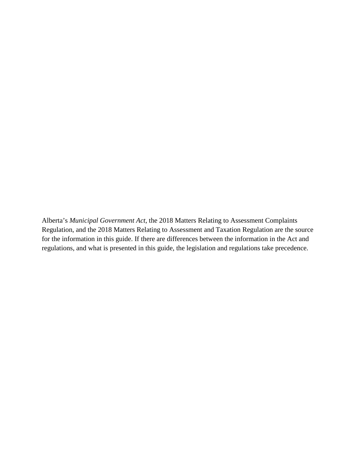Alberta's *Municipal Government Act*, the 2018 Matters Relating to Assessment Complaints Regulation, and the 2018 Matters Relating to Assessment and Taxation Regulation are the source for the information in this guide. If there are differences between the information in the Act and regulations, and what is presented in this guide, the legislation and regulations take precedence.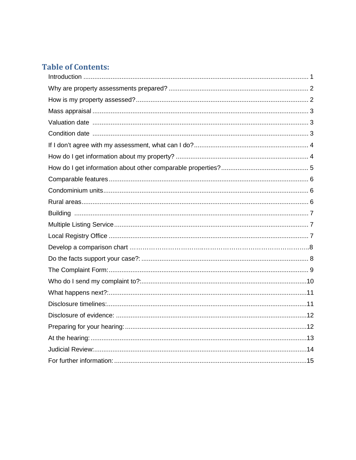# **Table of Contents:**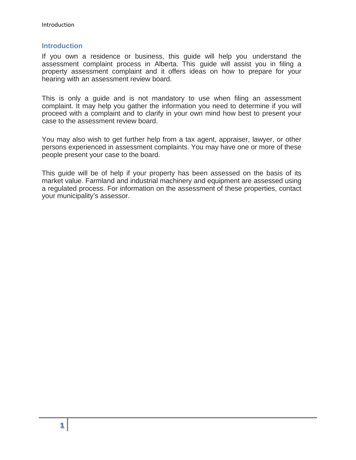#### <span id="page-4-0"></span>**Introduction**

If you own a residence or business, this guide will help you understand the assessment complaint process in Alberta. This guide will assist you in filing a property assessment complaint and it offers ideas on how to prepare for your hearing with an assessment review board.

This is only a guide and is not mandatory to use when filing an assessment complaint. It may help you gather the information you need to determine if you will proceed with a complaint and to clarify in your own mind how best to present your case to the assessment review board.

You may also wish to get further help from a tax agent, appraiser, lawyer, or other persons experienced in assessment complaints. You may have one or more of these people present your case to the board.

This guide will be of help if your property has been assessed on the basis of its market value. Farmland and industrial machinery and equipment are assessed using a regulated process. For information on the assessment of these properties, contact your municipality's assessor.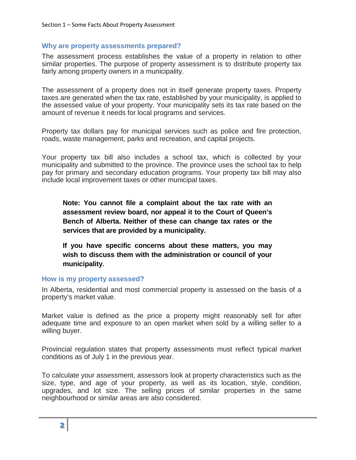#### <span id="page-5-0"></span>**Why are property assessments prepared?**

The assessment process establishes the value of a property in relation to other similar properties. The purpose of property assessment is to distribute property tax fairly among property owners in a municipality.

The assessment of a property does not in itself generate property taxes. Property taxes are generated when the tax rate, established by your municipality, is applied to the assessed value of your property. Your municipality sets its tax rate based on the amount of revenue it needs for local programs and services.

Property tax dollars pay for municipal services such as police and fire protection, roads, waste management, parks and recreation, and capital projects.

Your property tax bill also includes a school tax, which is collected by your municipality and submitted to the province. The province uses the school tax to help pay for primary and secondary education programs. Your property tax bill may also include local improvement taxes or other municipal taxes.

**Note: You cannot file a complaint about the tax rate with an assessment review board, nor appeal it to the Court of Queen's Bench of Alberta. Neither of these can change tax rates or the services that are provided by a municipality.**

**If you have specific concerns about these matters, you may wish to discuss them with the administration or council of your municipality.**

#### <span id="page-5-1"></span>**How is my property assessed?**

In Alberta, residential and most commercial property is assessed on the basis of a property's market value.

Market value is defined as the price a property might reasonably sell for after adequate time and exposure to an open market when sold by a willing seller to a willing buyer.

Provincial regulation states that property assessments must reflect typical market conditions as of July 1 in the previous year.

To calculate your assessment, assessors look at property characteristics such as the size, type, and age of your property, as well as its location, style, condition, upgrades, and lot size. The selling prices of similar properties in the same neighbourhood or similar areas are also considered.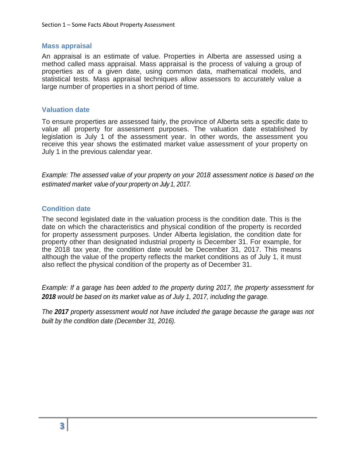#### <span id="page-6-0"></span>**Mass appraisal**

An appraisal is an estimate of value. Properties in Alberta are assessed using a method called mass appraisal. Mass appraisal is the process of valuing a group of properties as of a given date, using common data, mathematical models, and statistical tests. Mass appraisal techniques allow assessors to accurately value a large number of properties in a short period of time.

#### <span id="page-6-1"></span>**Valuation date**

To ensure properties are assessed fairly, the province of Alberta sets a specific date to value all property for assessment purposes. The valuation date established by legislation is July 1 of the assessment year. In other words, the assessment you receive this year shows the estimated market value assessment of your property on July 1 in the previous calendar year.

*Example: The assessed value of your property on your 2018 assessment notice is based on the estimated market value of your property on July 1, 2017.*

### <span id="page-6-2"></span>**Condition date**

The second legislated date in the valuation process is the condition date. This is the date on which the characteristics and physical condition of the property is recorded for property assessment purposes. Under Alberta legislation, the condition date for property other than designated industrial property is December 31. For example, for the 2018 tax year, the condition date would be December 31, 2017. This means although the value of the property reflects the market conditions as of July 1, it must also reflect the physical condition of the property as of December 31.

*Example: If a garage has been added to the property during 2017, the property assessment for 2018 would be based on its market value as of July 1, 2017, including the garage.*

*The 2017 property assessment would not have included the garage because the garage was not built by the condition date (December 31, 2016).*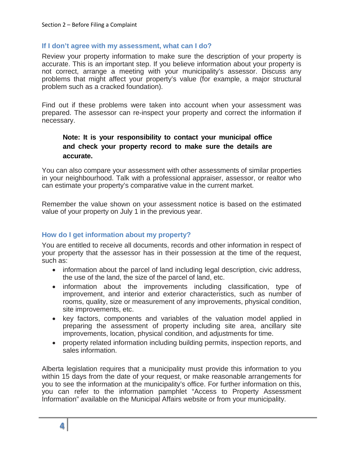#### <span id="page-7-0"></span>**If I don't agree with my assessment, what can I do?**

Review your property information to make sure the description of your property is accurate. This is an important step. If you believe information about your property is not correct, arrange a meeting with your municipality's assessor. Discuss any problems that might affect your property's value (for example, a major structural problem such as a cracked foundation).

Find out if these problems were taken into account when your assessment was prepared. The assessor can re-inspect your property and correct the information if necessary.

### **Note: It is your responsibility to contact your municipal office and check your property record to make sure the details are accurate.**

You can also compare your assessment with other assessments of similar properties in your neighbourhood. Talk with a professional appraiser, assessor, or realtor who can estimate your property's comparative value in the current market.

Remember the value shown on your assessment notice is based on the estimated value of your property on July 1 in the previous year.

### <span id="page-7-1"></span>**How do I get information about my property?**

You are entitled to receive all documents, records and other information in respect of your property that the assessor has in their possession at the time of the request, such as:

- information about the parcel of land including legal description, civic address, the use of the land, the size of the parcel of land, etc.
- information about the improvements including classification, type of improvement, and interior and exterior characteristics, such as number of rooms, quality, size or measurement of any improvements, physical condition, site improvements, etc.
- key factors, components and variables of the valuation model applied in preparing the assessment of property including site area, ancillary site improvements, location, physical condition, and adjustments for time.
- property related information including building permits, inspection reports, and sales information.

Alberta legislation requires that a municipality must provide this information to you within 15 days from the date of your request, or make reasonable arrangements for you to see the information at the municipality's office. For further information on this, you can refer to the information pamphlet "Access to Property Assessment Information" available on the Municipal Affairs website or from your municipality.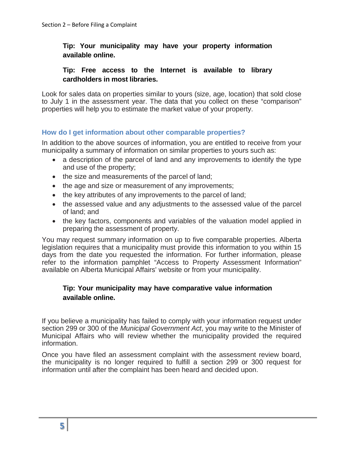### **Tip: Your municipality may have your property information available online.**

### **Tip: Free access to the Internet is available to library cardholders in most libraries.**

Look for sales data on properties similar to yours (size, age, location) that sold close to July 1 in the assessment year. The data that you collect on these "comparison" properties will help you to estimate the market value of your property.

### <span id="page-8-0"></span>**How do I get information about other comparable properties?**

In addition to the above sources of information, you are entitled to receive from your municipality a summary of information on similar properties to yours such as:

- a description of the parcel of land and any improvements to identify the type and use of the property;
- the size and measurements of the parcel of land;
- the age and size or measurement of any improvements;
- the key attributes of any improvements to the parcel of land;
- the assessed value and any adjustments to the assessed value of the parcel of land; and
- the key factors, components and variables of the valuation model applied in preparing the assessment of property.

You may request summary information on up to five comparable properties. Alberta legislation requires that a municipality must provide this information to you within 15 days from the date you requested the information. For further information, please refer to the information pamphlet "Access to Property Assessment Information" available on Alberta Municipal Affairs' website or from your municipality.

### **Tip: Your municipality may have comparative value information available online.**

If you believe a municipality has failed to comply with your information request under section 299 or 300 of the *Municipal Government Act*, you may write to the Minister of Municipal Affairs who will review whether the municipality provided the required information.

Once you have filed an assessment complaint with the assessment review board, the municipality is no longer required to fulfill a section 299 or 300 request for information until after the complaint has been heard and decided upon.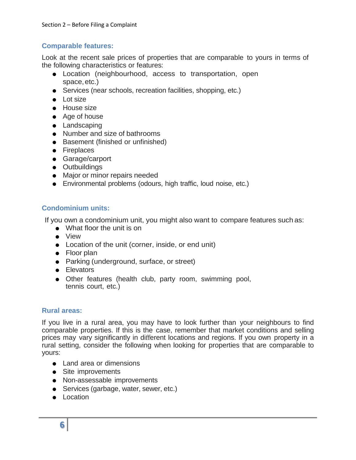# <span id="page-9-0"></span>**Comparable features:**

Look at the recent sale prices of properties that are comparable to yours in terms of the following characteristics or features:

- Location (neighbourhood, access to transportation, open space,etc.)
- Services (near schools, recreation facilities, shopping, etc.)
- Lot size
- House size
- Age of house
- Landscaping
- Number and size of bathrooms
- Basement (finished or unfinished)
- **•** Fireplaces
- Garage/carport
- **•** Outbuildings
- Major or minor repairs needed
- Environmental problems (odours, high traffic, loud noise, etc.)

# <span id="page-9-1"></span>**Condominium units:**

If you own a condominium unit, you might also want to compare features such as:

- What floor the unit is on
- View
- Location of the unit (corner, inside, or end unit)
- Floor plan
- Parking (underground, surface, or street)
- **•** Elevators
- Other features (health club, party room, swimming pool, tennis court, etc.)

### <span id="page-9-2"></span>**Rural areas:**

If you live in a rural area, you may have to look further than your neighbours to find comparable properties. If this is the case, remember that market conditions and selling prices may vary significantly in different locations and regions. If you own property in a rural setting, consider the following when looking for properties that are comparable to yours:

- Land area or dimensions
- Site improvements
- Non-assessable improvements
- Services (garbage, water, sewer, etc.)
- Location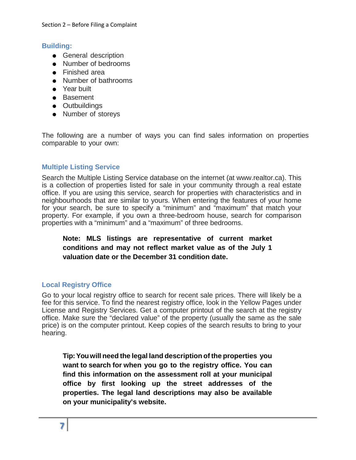### <span id="page-10-0"></span>**Building:**

- **•** General description
- Number of bedrooms
- Finished area
- Number of bathrooms
- Year built
- Basement
- Outbuildings
- Number of storeys

The following are a number of ways you can find sales information on properties comparable to your own:

### <span id="page-10-1"></span>**Multiple Listing Service**

Search the Multiple Listing Service database on the internet (at www.realtor.ca). This is a collection of properties listed for sale in your community through a real estate office. If you are using this service, search for properties with characteristics and in neighbourhoods that are similar to yours. When entering the features of your home for your search, be sure to specify a "minimum" and "maximum" that match your property. For example, if you own a three-bedroom house, search for comparison properties with a "minimum" and a "maximum" of three bedrooms.

# **Note: MLS listings are representative of current market conditions and may not reflect market value as of the July 1 valuation date or the December 31 condition date.**

### <span id="page-10-2"></span>**Local Registry Office**

Go to your local registry office to search for recent sale prices. There will likely be a fee for this service. To find the nearest registry office, look in the Yellow Pages under License and Registry Services. Get a computer printout of the search at the registry office. Make sure the "declared value" of the property (usually the same as the sale price) is on the computer printout. Keep copies of the search results to bring to your hearing.

**Tip:Youwill need the legal land description of the properties you want to search for when you go to the registry office. You can find this information on the assessment roll at your municipal office by first looking up the street addresses of the properties. The legal land descriptions may also be available on your municipality's website.**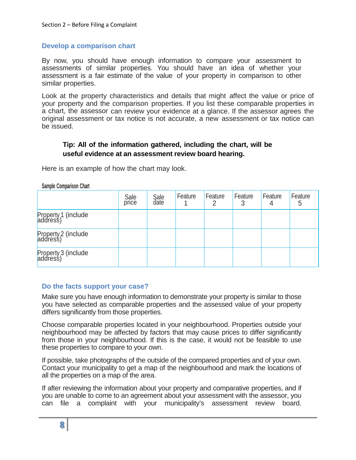#### **Develop a comparison chart**

By now, you should have enough information to compare your assessment to assessments of similar properties. You should have an idea of whether your assessment is a fair estimate of the value of your property in comparison to other similar properties.

Look at the property characteristics and details that might affect the value or price of your property and the comparison properties. If you list these comparable properties in a chart, the assessor can review your evidence at a glance. If the assessor agrees the original assessment or tax notice is not accurate, a new assessment or tax notice can be issued.

### **Tip: All of the information gathered, including the chart, will be useful evidence at an assessment review board hearing.**

Here is an example of how the chart may look.

| <b>PUTTING ANTIBATIONITY ATTACK</b> |               |              |         |         |         |              |              |  |
|-------------------------------------|---------------|--------------|---------|---------|---------|--------------|--------------|--|
|                                     | Sale<br>price | Sale<br>date | Feature | Feature | Feature | Feature<br>4 | Feature<br>5 |  |
| Property 1 (include<br>address)     |               |              |         |         |         |              |              |  |
| Property 2 (include<br>address)     |               |              |         |         |         |              |              |  |
| Property 3 (include<br>address)     |               |              |         |         |         |              |              |  |

**Sample Comparison Chart**

### <span id="page-11-0"></span>**Do the facts support your case?**

Make sure you have enough information to demonstrate your property is similar to those you have selected as comparable properties and the assessed value of your property differs significantly from those properties.

Choose comparable properties located in your neighbourhood. Properties outside your neighbourhood may be affected by factors that may cause prices to differ significantly from those in your neighbourhood. If this is the case, it would not be feasible to use these properties to compare to your own.

If possible, take photographs of the outside of the compared properties and of your own. Contact your municipality to get a map of the neighbourhood and mark the locations of all the properties on a map of the area.

If after reviewing the information about your property and comparative properties, and if you are unable to come to an agreement about your assessment with the assessor, you can file a complaint with your municipality's assessment review board.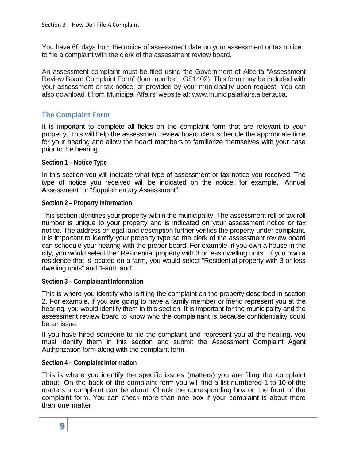You have 60 days from the notice of assessment date on your assessment or tax notice to file a complaint with the clerk of the assessment review board.

An assessment complaint must be filed using the Government of Alberta "Assessment Review Board Complaint Form" (form number LGS1402). This form may be included with your assessment or tax notice, or provided by your municipality upon request. You can also download it from Municipal Affairs' website at: [www.municipalaffairs.alberta.ca.](http://www.municipalaffairs.alberta.ca/)

### <span id="page-12-0"></span>**The Complaint Form**

It is important to complete all fields on the complaint form that are relevant to your property. This will help the assessment review board clerk schedule the appropriate time for your hearing and allow the board members to familiarize themselves with your case prior to the hearing.

#### **Section 1 – Notice Type**

In this section you will indicate what type of assessment or tax notice you received. The type of notice you received will be indicated on the notice, for example, "Annual Assessment" or "Supplementary Assessment".

#### **Section 2 – Property Information**

This section identifies your property within the municipality. The assessment roll or tax roll number is unique to your property and is indicated on your assessment notice or tax notice. The address or legal land description further verifies the property under complaint. It is important to identify your property type so the clerk of the assessment review board can schedule your hearing with the proper board. For example, if you own a house in the city, you would select the "Residential property with 3 or less dwelling units". If you own a residence that is located on a farm, you would select "Residential property with 3 or less dwelling units" and "Farm land".

### **Section 3 – Complainant Information**

This is where you identify who is filing the complaint on the property described in section 2. For example, if you are going to have a family member or friend represent you at the hearing, you would identify them in this section. It is important for the municipality and the assessment review board to know who the complainant is because confidentiality could be an issue.

If you have hired someone to file the complaint and represent you at the hearing, you must identify them in this section and submit the Assessment Complaint Agent Authorization form along with the complaint form.

#### **Section 4 – Complaint Information**

This is where you identify the specific issues (matters) you are filing the complaint about. On the back of the complaint form you will find a list numbered 1 to 10 of the matters a complaint can be about. Check the corresponding box on the front of the complaint form. You can check more than one box if your complaint is about more than one matter.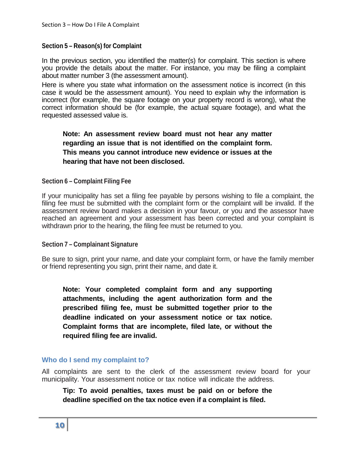### **Section 5 – Reason(s) for Complaint**

In the previous section, you identified the matter(s) for complaint. This section is where you provide the details about the matter. For instance, you may be filing a complaint about matter number 3 (the assessment amount).

Here is where you state what information on the assessment notice is incorrect (in this case it would be the assessment amount). You need to explain why the information is incorrect (for example, the square footage on your property record is wrong), what the correct information should be (for example, the actual square footage), and what the requested assessed value is.

# **Note: An assessment review board must not hear any matter regarding an issue that is not identified on the complaint form. This means you cannot introduce new evidence or issues at the hearing that have not been disclosed.**

### **Section 6 – Complaint Filing Fee**

If your municipality has set a filing fee payable by persons wishing to file a complaint, the filing fee must be submitted with the complaint form or the complaint will be invalid. If the assessment review board makes a decision in your favour, or you and the assessor have reached an agreement and your assessment has been corrected and your complaint is withdrawn prior to the hearing, the filing fee must be returned to you.

### **Section 7 – Complainant Signature**

Be sure to sign, print your name, and date your complaint form, or have the family member or friend representing you sign, print their name, and date it.

**Note: Your completed complaint form and any supporting attachments, including the agent authorization form and the prescribed filing fee, must be submitted together prior to the deadline indicated on your assessment notice or tax notice. Complaint forms that are incomplete, filed late, or without the required filing fee are invalid.**

### <span id="page-13-0"></span>**Who do I send my complaint to?**

All complaints are sent to the clerk of the assessment review board for your municipality. Your assessment notice or tax notice will indicate the address.

**Tip: To avoid penalties, taxes must be paid on or before the deadline specified on the tax notice even if a complaint is filed.**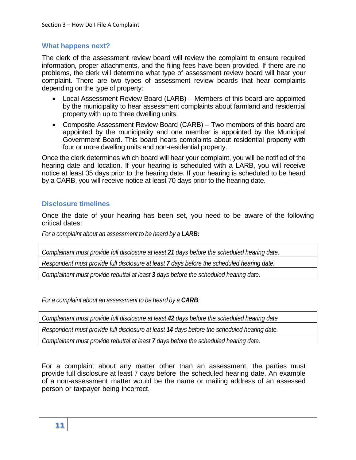### <span id="page-14-0"></span>**What happens next?**

The clerk of the assessment review board will review the complaint to ensure required information, proper attachments, and the filing fees have been provided. If there are no problems, the clerk will determine what type of assessment review board will hear your complaint. There are two types of assessment review boards that hear complaints depending on the type of property:

- Local Assessment Review Board (LARB) Members of this board are appointed by the municipality to hear assessment complaints about farmland and residential property with up to three dwelling units.
- Composite Assessment Review Board (CARB) Two members of this board are appointed by the municipality and one member is appointed by the Municipal Government Board. This board hears complaints about residential property with four or more dwelling units and non-residential property.

Once the clerk determines which board will hear your complaint, you will be notified of the hearing date and location. If your hearing is scheduled with a LARB, you will receive notice at least 35 days prior to the hearing date. If your hearing is scheduled to be heard by a CARB, you will receive notice at least 70 days prior to the hearing date.

### <span id="page-14-1"></span>**Disclosure timelines**

Once the date of your hearing has been set, you need to be aware of the following critical dates:

*For a complaint about an assessment to be heard by a LARB:*

*Complainant must provide full disclosure at least 21 days before the scheduled hearing date. Respondent must provide full disclosure at least 7 days before the scheduled hearing date. Complainant must provide rebuttal at least 3 days before the scheduled hearing date.*

*For a complaint about an assessment to be heard by a CARB:*

*Complainant must provide full disclosure at least 42 days before the scheduled hearing date*

*Respondent must provide full disclosure at least 14 days before the scheduled hearing date.*

*Complainant must provide rebuttal at least 7 days before the scheduled hearing date.*

For a complaint about any matter other than an assessment, the parties must provide full disclosure at least 7 days before the scheduled hearing date. An example of a non-assessment matter would be the name or mailing address of an assessed person or taxpayer being incorrect.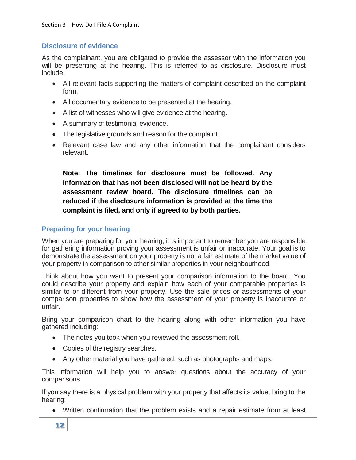### <span id="page-15-0"></span>**Disclosure of evidence**

As the complainant, you are obligated to provide the assessor with the information you will be presenting at the hearing. This is referred to as disclosure. Disclosure must include:

- All relevant facts supporting the matters of complaint described on the complaint form.
- All documentary evidence to be presented at the hearing.
- A list of witnesses who will give evidence at the hearing.
- A summary of testimonial evidence.
- The legislative grounds and reason for the complaint.
- Relevant case law and any other information that the complainant considers relevant.

**Note: The timelines for disclosure must be followed. Any information that has not been disclosed will not be heard by the assessment review board. The disclosure timelines can be reduced if the disclosure information is provided at the time the complaint is filed, and only if agreed to by both parties.**

### <span id="page-15-1"></span>**Preparing for your hearing**

When you are preparing for your hearing, it is important to remember you are responsible for gathering information proving your assessment is unfair or inaccurate. Your goal is to demonstrate the assessment on your property is not a fair estimate of the market value of your property in comparison to other similar properties in your neighbourhood.

Think about how you want to present your comparison information to the board. You could describe your property and explain how each of your comparable properties is similar to or different from your property. Use the sale prices or assessments of your comparison properties to show how the assessment of your property is inaccurate or unfair.

Bring your comparison chart to the hearing along with other information you have gathered including:

- The notes you took when you reviewed the assessment roll.
- Copies of the registry searches.
- Any other material you have gathered, such as photographs and maps.

This information will help you to answer questions about the accuracy of your comparisons.

If you say there is a physical problem with your property that affects its value, bring to the hearing:

• Written confirmation that the problem exists and a repair estimate from at least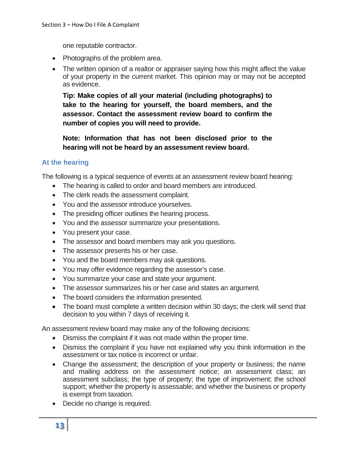one reputable contractor.

- Photographs of the problem area.
- The written opinion of a realtor or appraiser saying how this might affect the value of your property in the current market. This opinion may or may not be accepted as evidence.

**Tip: Make copies of all your material (including photographs) to take to the hearing for yourself, the board members, and the assessor. Contact the assessment review board to confirm the number of copies you will need to provide.**

**Note: Information that has not been disclosed prior to the hearing will not be heard by an assessment review board.**

# <span id="page-16-0"></span>**At the hearing**

The following is a typical sequence of events at an assessment review board hearing:

- The hearing is called to order and board members are introduced.
- The clerk reads the assessment complaint.
- You and the assessor introduce yourselves.
- The presiding officer outlines the hearing process.
- You and the assessor summarize your presentations.
- You present your case.
- The assessor and board members may ask you questions.
- The assessor presents his or her case.
- You and the board members may ask questions.
- You may offer evidence regarding the assessor's case.
- You summarize your case and state your argument.
- The assessor summarizes his or her case and states an argument.
- The board considers the information presented.
- The board must complete a written decision within 30 days; the clerk will send that decision to you within 7 days of receiving it.

An assessment review board may make any of the following decisions:

- Dismiss the complaint if it was not made within the proper time.
- Dismiss the complaint if you have not explained why you think information in the assessment or tax notice is incorrect or unfair.
- Change the assessment; the description of your property or business; the name and mailing address on the assessment notice; an assessment class; an assessment subclass; the type of property; the type of improvement; the school support; whether the property is assessable; and whether the business or property is exempt from taxation.
- Decide no change is required.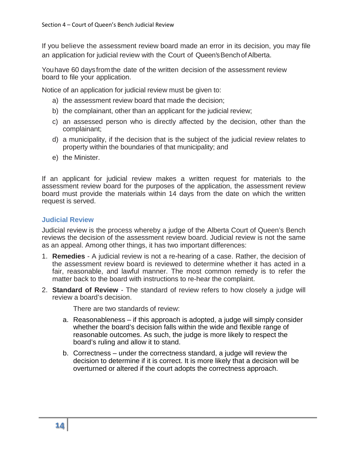If you believe the assessment review board made an error in its decision, you may file an application for judicial review with the Court of Queen'sBenchofAlberta.

Youhave 60 daysfromthe date of the written decision of the assessment review board to file your application.

Notice of an application for judicial review must be given to:

- a) the assessment review board that made the decision;
- b) the complainant, other than an applicant for the judicial review;
- c) an assessed person who is directly affected by the decision, other than the complainant;
- d) a municipality, if the decision that is the subject of the judicial review relates to property within the boundaries of that municipality; and
- e) the Minister.

If an applicant for judicial review makes a written request for materials to the assessment review board for the purposes of the application, the assessment review board must provide the materials within 14 days from the date on which the written request is served.

### <span id="page-17-0"></span>**Judicial Review**

Judicial review is the process whereby a judge of the Alberta Court of Queen's Bench reviews the decision of the assessment review board. Judicial review is not the same as an appeal. Among other things, it has two important differences:

- 1. **Remedies** A judicial review is not a re-hearing of a case. Rather, the decision of the assessment review board is reviewed to determine whether it has acted in a fair, reasonable, and lawful manner. The most common remedy is to refer the matter back to the board with instructions to re-hear the complaint.
- 2. **Standard of Review** The standard of review refers to how closely a judge will review a board's decision.

There are two standards of review:

- a. Reasonableness if this approach is adopted, a judge will simply consider whether the board's decision falls within the wide and flexible range of reasonable outcomes. As such, the judge is more likely to respect the board's ruling and allow it to stand.
- b. Correctness under the correctness standard, a judge will review the decision to determine if it is correct. It is more likely that a decision will be overturned or altered if the court adopts the correctness approach.